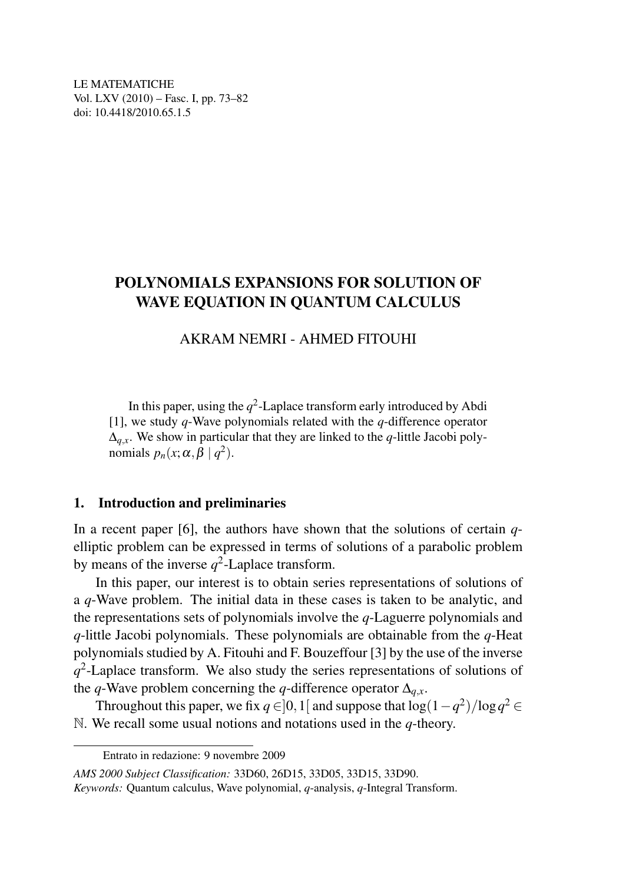LE MATEMATICHE Vol. LXV (2010) – Fasc. I, pp. 73–82 doi: 10.4418/2010.65.1.5

# POLYNOMIALS EXPANSIONS FOR SOLUTION OF WAVE EQUATION IN QUANTUM CALCULUS

### AKRAM NEMRI - AHMED FITOUHI

In this paper, using the  $q^2$ -Laplace transform early introduced by Abdi [1], we study *q*-Wave polynomials related with the *q*-difference operator  $\Delta$ <sub>*q* $x$ </sub>. We show in particular that they are linked to the *q*-little Jacobi polynomials  $p_n(x; \alpha, \beta \mid q^2)$ .

#### 1. Introduction and preliminaries

In a recent paper [6], the authors have shown that the solutions of certain *q*elliptic problem can be expressed in terms of solutions of a parabolic problem by means of the inverse  $q^2$ -Laplace transform.

In this paper, our interest is to obtain series representations of solutions of a *q*-Wave problem. The initial data in these cases is taken to be analytic, and the representations sets of polynomials involve the *q*-Laguerre polynomials and *q*-little Jacobi polynomials. These polynomials are obtainable from the *q*-Heat polynomials studied by A. Fitouhi and F. Bouzeffour [3] by the use of the inverse *q* 2 -Laplace transform. We also study the series representations of solutions of the *q*-Wave problem concerning the *q*-difference operator  $\Delta_{q.x}$ .

Throughout this paper, we fix  $q \in ]0,1[$  and suppose that  $\log(1-q^2)/\log q^2 \in$ N. We recall some usual notions and notations used in the *q*-theory.

Entrato in redazione: 9 novembre 2009

*AMS 2000 Subject Classification:* 33D60, 26D15, 33D05, 33D15, 33D90. *Keywords:* Quantum calculus, Wave polynomial, *q*-analysis, *q*-Integral Transform.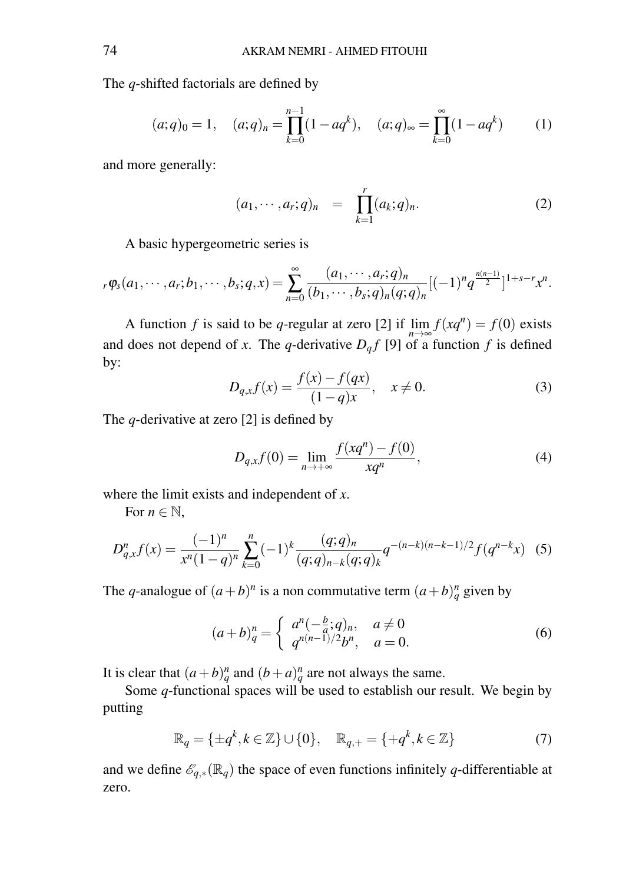The *q*-shifted factorials are defined by

$$
(a;q)_0 = 1, \quad (a;q)_n = \prod_{k=0}^{n-1} (1 - aq^k), \quad (a;q)_{\infty} = \prod_{k=0}^{\infty} (1 - aq^k) \tag{1}
$$

and more generally:

$$
(a_1, \cdots, a_r; q)_n = \prod_{k=1}^r (a_k; q)_n.
$$
 (2)

A basic hypergeometric series is

$$
{}_{r}\varphi_s(a_1,\dots,a_r;b_1,\dots,b_s;q,x)=\sum_{n=0}^{\infty}\frac{(a_1,\dots,a_r;q)_n}{(b_1,\dots,b_s;q)_n(q;q)_n}[(-1)^n q^{\frac{n(n-1)}{2}}]^{1+s-r}x^n.
$$

A function *f* is said to be *q*-regular at zero [2] if  $\lim_{n \to \infty} f(xq^n) = f(0)$  exists and does not depend of *x*. The *q*-derivative  $D_q f$  [9] of a function *f* is defined by:

$$
D_{q,x}f(x) = \frac{f(x) - f(qx)}{(1 - q)x}, \quad x \neq 0.
$$
 (3)

The *q*-derivative at zero [2] is defined by

$$
D_{q,x}f(0) = \lim_{n \to +\infty} \frac{f(xq^n) - f(0)}{xq^n},
$$
\n(4)

where the limit exists and independent of *x*.

For  $n \in \mathbb{N}$ ,

$$
D_{q,x}^n f(x) = \frac{(-1)^n}{x^n (1-q)^n} \sum_{k=0}^n (-1)^k \frac{(q;q)_n}{(q;q)_{n-k}(q;q)_k} q^{-(n-k)(n-k-1)/2} f(q^{n-k}x) \tag{5}
$$

The *q*-analogue of  $(a+b)^n$  is a non commutative term  $(a+b)^n_q$  given by

$$
(a+b)_q^n = \begin{cases} a^n(-\frac{b}{a};q)_n, & a \neq 0\\ q^{n(n-1)/2}b^n, & a = 0. \end{cases}
$$
 (6)

It is clear that  $(a+b)_q^n$  and  $(b+a)_q^n$  are not always the same.

Some *q*-functional spaces will be used to establish our result. We begin by putting

$$
\mathbb{R}_q = \{ \pm q^k, k \in \mathbb{Z} \} \cup \{ 0 \}, \quad \mathbb{R}_{q,+} = \{ +q^k, k \in \mathbb{Z} \}
$$
 (7)

and we define  $\mathscr{E}_{q,*}(\mathbb{R}_q)$  the space of even functions infinitely q-differentiable at zero.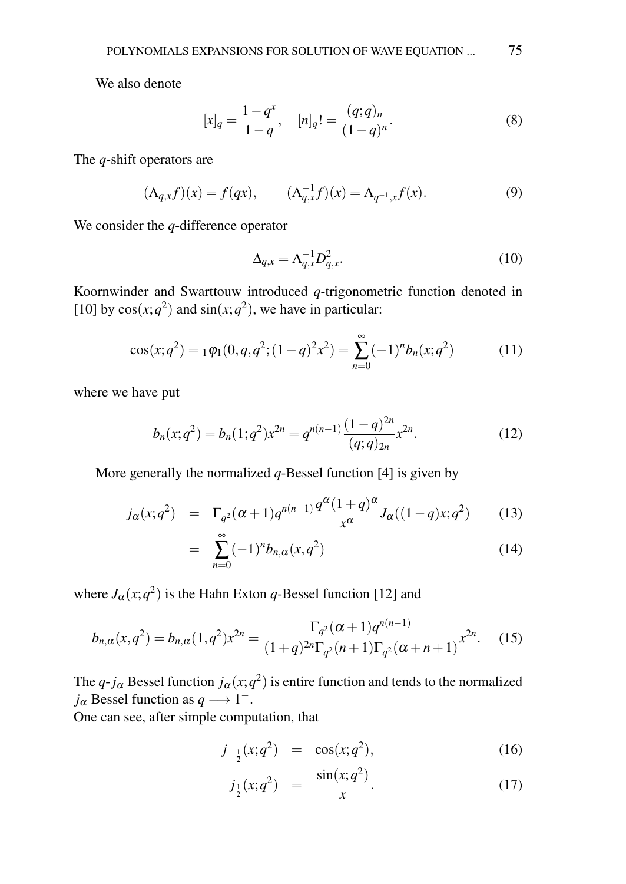We also denote

$$
[x]_q = \frac{1 - q^x}{1 - q}, \quad [n]_q! = \frac{(q; q)_n}{(1 - q)^n}.
$$
 (8)

The *q*-shift operators are

$$
(\Lambda_{q,x}f)(x) = f(qx), \qquad (\Lambda_{q,x}^{-1}f)(x) = \Lambda_{q^{-1},x}f(x). \tag{9}
$$

We consider the *q*-difference operator

$$
\Delta_{q,x} = \Lambda_{q,x}^{-1} D_{q,x}^2. \tag{10}
$$

Koornwinder and Swarttouw introduced *q*-trigonometric function denoted in [10] by  $cos(x; q^2)$  and  $sin(x; q^2)$ , we have in particular:

$$
\cos(x;q^2) = {}_1\varphi_1(0,q,q^2;(1-q)^2x^2) = \sum_{n=0}^{\infty} (-1)^n b_n(x;q^2)
$$
 (11)

where we have put

$$
b_n(x;q^2) = b_n(1;q^2)x^{2n} = q^{n(n-1)} \frac{(1-q)^{2n}}{(q;q)_{2n}} x^{2n}.
$$
 (12)

More generally the normalized *q*-Bessel function [4] is given by

$$
j_{\alpha}(x;q^2) = \Gamma_{q^2}(\alpha+1)q^{n(n-1)} \frac{q^{\alpha}(1+q)^{\alpha}}{x^{\alpha}} J_{\alpha}((1-q)x;q^2) \quad (13)
$$

$$
= \sum_{n=0}^{\infty} (-1)^n b_{n,\alpha}(x, q^2)
$$
 (14)

where  $J_{\alpha}(x; q^2)$  is the Hahn Exton *q*-Bessel function [12] and

$$
b_{n,\alpha}(x,q^2) = b_{n,\alpha}(1,q^2)x^{2n} = \frac{\Gamma_{q^2}(\alpha+1)q^{n(n-1)}}{(1+q)^{2n}\Gamma_{q^2}(n+1)\Gamma_{q^2}(\alpha+n+1)}x^{2n}.
$$
 (15)

The  $q$ - $j_{\alpha}$  Bessel function  $j_{\alpha}(x;q^2)$  is entire function and tends to the normalized  $j_{\alpha}$  Bessel function as  $q \rightarrow 1^{-}$ .

One can see, after simple computation, that

$$
j_{-\frac{1}{2}}(x;q^2) = \cos(x;q^2), \qquad (16)
$$

$$
j_{\frac{1}{2}}(x;q^2) = \frac{\sin(x;q^2)}{x}.
$$
 (17)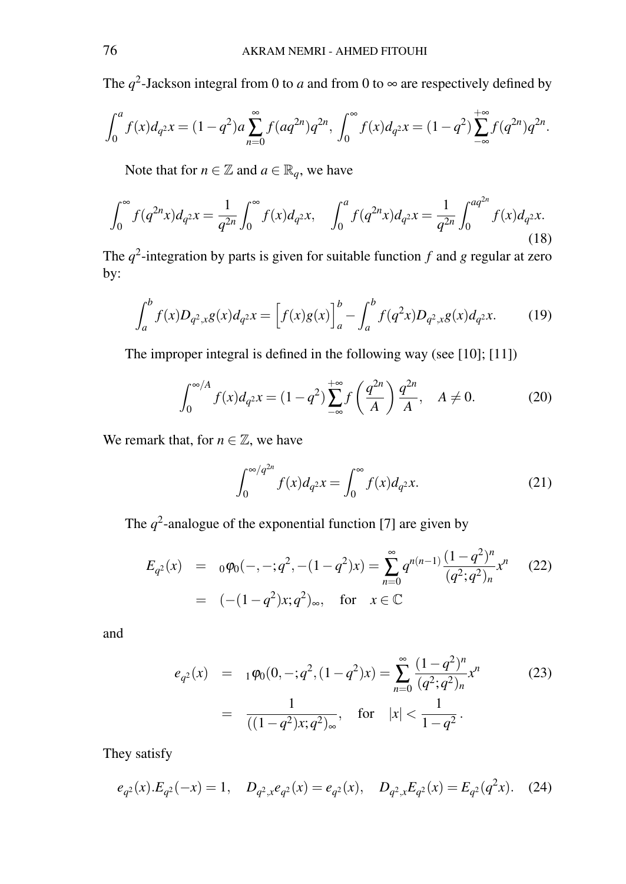The  $q^2$ -Jackson integral from 0 to *a* and from 0 to  $\infty$  are respectively defined by

$$
\int_0^a f(x)d_{q^2}x = (1-q^2)a\sum_{n=0}^\infty f(aq^{2n})q^{2n}, \int_0^\infty f(x)d_{q^2}x = (1-q^2)\sum_{-\infty}^{+\infty} f(q^{2n})q^{2n}.
$$

Note that for  $n \in \mathbb{Z}$  and  $a \in \mathbb{R}_q$ , we have

$$
\int_0^\infty f(q^{2n}x)d_{q^2}x = \frac{1}{q^{2n}} \int_0^\infty f(x)d_{q^2}x, \quad \int_0^a f(q^{2n}x)d_{q^2}x = \frac{1}{q^{2n}} \int_0^{aq^{2n}} f(x)d_{q^2}x.
$$
\n(18)

The *q* 2 -integration by parts is given for suitable function *f* and *g* regular at zero by:

$$
\int_{a}^{b} f(x)D_{q^{2},x}g(x)d_{q^{2}}x = \left[f(x)g(x)\right]_{a}^{b} - \int_{a}^{b} f(q^{2}x)D_{q^{2},x}g(x)d_{q^{2}}x.
$$
 (19)

The improper integral is defined in the following way (see [10]; [11])

$$
\int_0^{\infty/A} f(x) d_{q^2} x = (1 - q^2) \sum_{-\infty}^{+\infty} f\left(\frac{q^{2n}}{A}\right) \frac{q^{2n}}{A}, \quad A \neq 0.
$$
 (20)

We remark that, for  $n \in \mathbb{Z}$ , we have

$$
\int_0^{\infty/q^{2n}} f(x) d_{q^2} x = \int_0^{\infty} f(x) d_{q^2} x.
$$
 (21)

The  $q^2$ -analogue of the exponential function [7] are given by

$$
E_{q^2}(x) = o\varphi_0(-, -; q^2, -(1-q^2)x) = \sum_{n=0}^{\infty} q^{n(n-1)} \frac{(1-q^2)^n}{(q^2;q^2)_n} x^n
$$
 (22)  
=  $(-(1-q^2)x;q^2)_{\infty}$ , for  $x \in \mathbb{C}$ 

and

$$
e_{q^2}(x) = 1 \varphi_0(0, -; q^2, (1 - q^2)x) = \sum_{n=0}^{\infty} \frac{(1 - q^2)^n}{(q^2; q^2)_n} x^n
$$
  
=  $\frac{1}{((1 - q^2)x; q^2)_{\infty}}$ , for  $|x| < \frac{1}{1 - q^2}$ . (23)

They satisfy

$$
e_{q^2}(x).E_{q^2}(-x) = 1, \quad D_{q^2,x}e_{q^2}(x) = e_{q^2}(x), \quad D_{q^2,x}E_{q^2}(x) = E_{q^2}(q^2x). \tag{24}
$$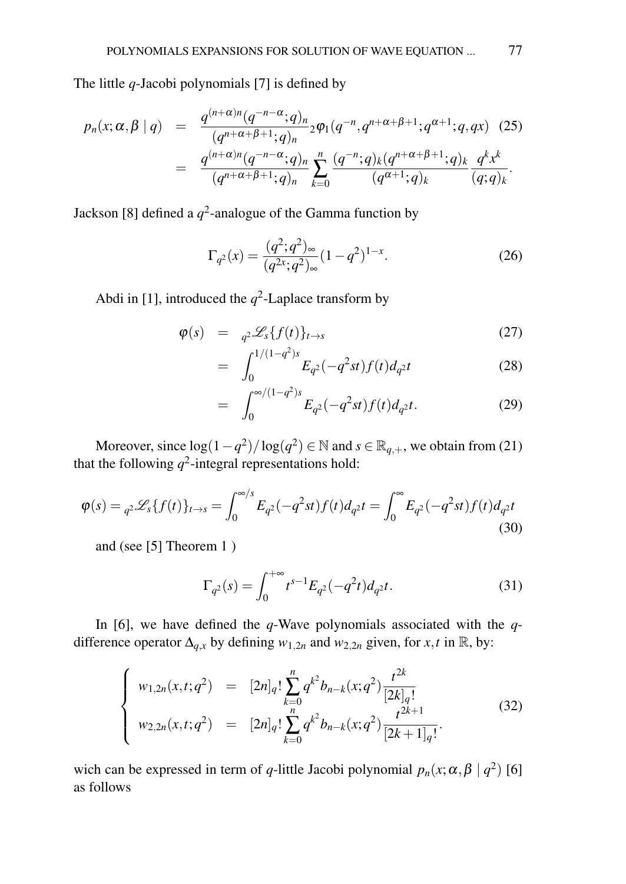The little *q*-Jacobi polynomials [7] is defined by

$$
p_n(x; \alpha, \beta | q) = \frac{q^{(n+\alpha)n} (q^{-n-\alpha}; q)_n}{(q^{n+\alpha+\beta+1}; q)_n} {}_2\varphi_1(q^{-n}, q^{n+\alpha+\beta+1}; q^{\alpha+1}; q, qx) \quad (25)
$$
  

$$
= \frac{q^{(n+\alpha)n} (q^{-n-\alpha}; q)_n}{(q^{n+\alpha+\beta+1}; q)_n} \sum_{k=0}^n \frac{(q^{-n}; q)_k (q^{n+\alpha+\beta+1}; q)_k}{(q^{\alpha+1}; q)_k} \frac{q^k x^k}{(q; q)_k}.
$$

Jackson [8] defined a  $q^2$ -analogue of the Gamma function by

$$
\Gamma_{q^2}(x) = \frac{(q^2;q^2)_{\infty}}{(q^{2x};q^2)_{\infty}}(1-q^2)^{1-x}.
$$
\n(26)

Abdi in [1], introduced the  $q^2$ -Laplace transform by

$$
\varphi(s) = \underset{c_1^{1/(1-\sigma^2)s}}{\sum} \{f(t)\}_{t \to s} \tag{27}
$$

$$
= \int_0^{1/(1-q^2)s} E_{q^2}(-q^2st) f(t) d_{q^2}t \tag{28}
$$

$$
= \int_0^{\infty/(1-q^2)s} E_{q^2}(-q^2st)f(t)d_{q^2}t.
$$
 (29)

Moreover, since  $\log(1 - q^2)/\log(q^2) \in \mathbb{N}$  and  $s \in \mathbb{R}_{q,+}$ , we obtain from (21) that the following  $q^2$ -integral representations hold:

$$
\varphi(s) = {}_{q^2} \mathcal{L}_s \{ f(t) \}_{t \to s} = \int_0^{\infty/s} E_{q^2}(-q^2 st) f(t) d_{q^2} t = \int_0^{\infty} E_{q^2}(-q^2 st) f(t) d_{q^2} t
$$
\n(30)

and (see [5] Theorem 1 )

$$
\Gamma_{q^2}(s) = \int_0^{+\infty} t^{s-1} E_{q^2}(-q^2 t) d_{q^2} t.
$$
 (31)

In [6], we have defined the *q*-Wave polynomials associated with the *q*difference operator  $\Delta_{q,x}$  by defining  $w_{1,2n}$  and  $w_{2,2n}$  given, for *x*,*t* in R, by:

$$
\begin{cases}\nw_{1,2n}(x,t;q^2) = [2n]_q! \sum_{k=0}^n q^{k^2} b_{n-k}(x;q^2) \frac{t^{2k}}{[2k]_q!} \\
w_{2,2n}(x,t;q^2) = [2n]_q! \sum_{k=0}^n q^{k^2} b_{n-k}(x;q^2) \frac{t^{2k+1}}{[2k+1]_q!}.\n\end{cases} (32)
$$

wich can be expressed in term of *q*-little Jacobi polynomial  $p_n(x; \alpha, \beta | q^2)$  [6] as follows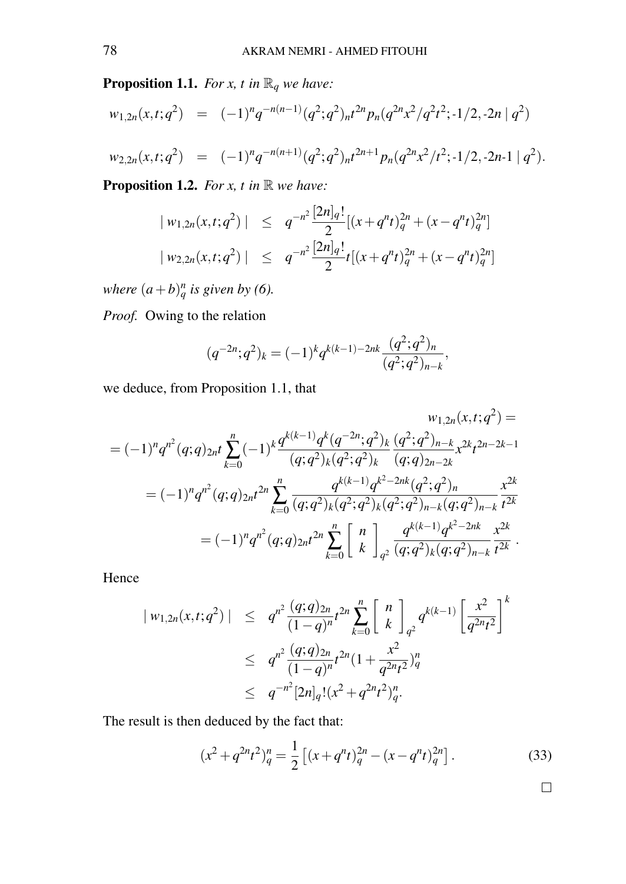**Proposition 1.1.** *For x, t in*  $\mathbb{R}_q$  *we have:* 

$$
w_{1,2n}(x,t;q^2) = (-1)^n q^{-n(n-1)} (q^2;q^2)_{n} t^{2n} p_n (q^{2n} x^2 / q^2 t^2; -1/2, -2n | q^2)
$$
  

$$
w_{2,2n}(x,t;q^2) = (-1)^n q^{-n(n+1)} (q^2;q^2)_{n} t^{2n+1} p_n (q^{2n} x^2 / t^2; -1/2, -2n-1 | q^2).
$$

**Proposition 1.2.** *For x, t in*  $\mathbb{R}$  *we have:* 

$$
| w_{1,2n}(x,t;q^2) | \leq q^{-n^2} \frac{[2n]_q!}{2} [(x+q^nt)_q^{2n} + (x-q^nt)_q^{2n}]
$$
  

$$
| w_{2,2n}(x,t;q^2) | \leq q^{-n^2} \frac{[2n]_q!}{2} t [(x+q^nt)_q^{2n} + (x-q^nt)_q^{2n}]
$$

*where*  $(a+b)_q^n$  *is given by* (6).

*Proof.* Owing to the relation

$$
(q^{-2n};q^2)_k = (-1)^k q^{k(k-1)-2nk} \frac{(q^2;q^2)_n}{(q^2;q^2)_{n-k}},
$$

we deduce, from Proposition 1.1, that

$$
w_{1,2n}(x,t;q^2) =
$$
  
\n
$$
= (-1)^n q^{n^2} (q;q)_{2n} t \sum_{k=0}^n (-1)^k \frac{q^{k(k-1)} q^k (q^{-2n};q^2)_k (q^2;q^2)_{n-k}}{(q;q)_{2n-2k}} x^{2k} t^{2n-2k-1}
$$
  
\n
$$
= (-1)^n q^{n^2} (q;q)_{2n} t^{2n} \sum_{k=0}^n \frac{q^{k(k-1)} q^{k^2-2nk} (q^2;q^2)_n}{(q;q^2)_k (q^2;q^2)_k (q^2;q^2)_{n-k} (q;q^2)_{n-k}} \frac{x^{2k}}{t^{2k}}
$$
  
\n
$$
= (-1)^n q^{n^2} (q;q)_{2n} t^{2n} \sum_{k=0}^n \begin{bmatrix} n \\ k \end{bmatrix}_{q^2} \frac{q^{k(k-1)} q^{k^2-2nk}}{(q;q^2)_k (q;q^2)_{n-k}} \frac{x^{2k}}{t^{2k}}.
$$

Hence

$$
\begin{array}{rcl} |w_{1,2n}(x,t;q^2)| & \leq & q^{n^2} \frac{(q;q)_{2n}}{(1-q)^n} t^{2n} \sum_{k=0}^n \left[ \begin{array}{c} n \\ k \end{array} \right]_{q^2} q^{k(k-1)} \left[ \frac{x^2}{q^{2n}t^2} \right]^k \\ & \leq & q^{n^2} \frac{(q;q)_{2n}}{(1-q)^n} t^{2n} (1 + \frac{x^2}{q^{2n}t^2})_q^n \\ & \leq & q^{-n^2} [2n]_q! (x^2 + q^{2n}t^2)_q^n. \end{array}
$$

The result is then deduced by the fact that:

$$
(x^{2} + q^{2n}t^{2})_{q}^{n} = \frac{1}{2} \left[ (x + q^{n}t)_{q}^{2n} - (x - q^{n}t)_{q}^{2n} \right].
$$
 (33)

 $\Box$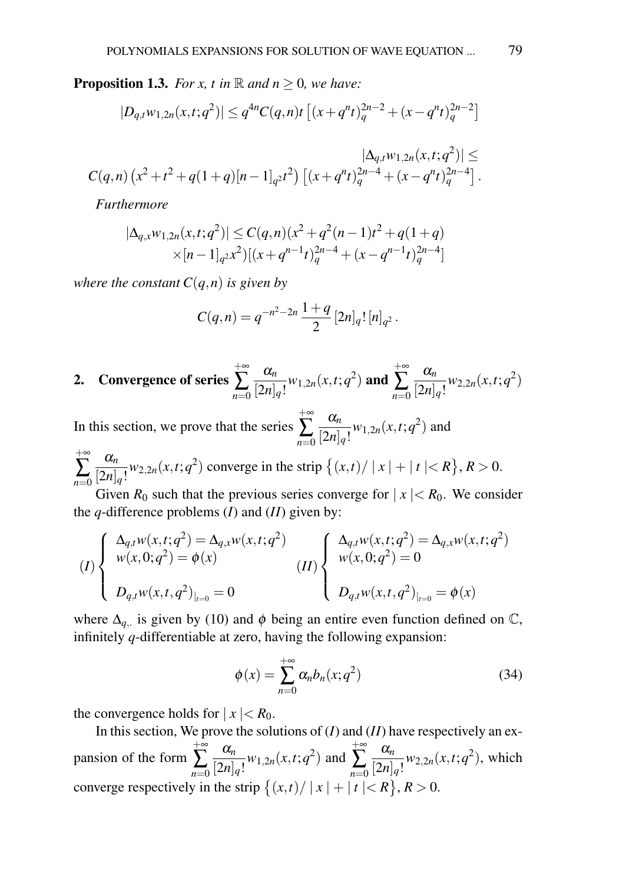**Proposition 1.3.** *For x, t in*  $\mathbb{R}$  *and n*  $\geq$  0*, we have:* 

$$
|D_{q,t}w_{1,2n}(x,t;q^2)| \leq q^{4n}C(q,n)t \left[ (x+q^nt)_q^{2n-2} + (x-q^nt)_q^{2n-2} \right]
$$

$$
|\Delta_{q,t}w_{1,2n}(x,t;q^2)| \leq
$$
  

$$
C(q,n) (x^2+t^2+q(1+q)[n-1]_{q^2}t^2) [(x+q^nt)^{2n-4}_{q}+(x-q^nt)^{2n-4}_{q}].
$$

*Furthermore*

$$
|\Delta_{q,x}w_{1,2n}(x,t;q^2)| \le C(q,n)(x^2+q^2(n-1)t^2+q(1+q))
$$
  
 
$$
\times [n-1]_{q^2}x^2)[(x+q^{n-1}t)_{q}^{2n-4}+(x-q^{n-1}t)_{q}^{2n-4}]
$$

*where the constant*  $C(q, n)$  *is given by* 

$$
C(q,n) = q^{-n^2-2n}\,\frac{1+q}{2}\,[2n]_q!\,[n]_{q^2}.
$$

2. Convergence of series 
$$
\sum_{n=0}^{+\infty} \frac{\alpha_n}{[2n]_q!} w_{1,2n}(x,t;q^2)
$$
 and 
$$
\sum_{n=0}^{+\infty} \frac{\alpha_n}{[2n]_q!} w_{2,2n}(x,t;q^2)
$$

In this section, we prove that the series +∞ ∑ *n*=0 α*n*  $\frac{\alpha_n}{[2n]_q!}$   $w_{1,2n}(x,t;q^2)$  and

 $+$ ∞ ∑ *n*=0 α*n*  $\frac{a_n}{[2n]_q!}$  *w*<sub>2,2*n*</sub>(*x*,*t*;*q*<sup>2</sup>) converge in the strip  $\{(x,t)/ |x| + |t| < R\}$ ,  $R > 0$ .

Given  $R_0$  such that the previous series converge for  $|x| < R_0$ . We consider the *q*-difference problems (*I*) and (*II*) given by:

$$
(I) \begin{cases} \Delta_{q,t}w(x,t;q^2) = \Delta_{q,x}w(x,t;q^2) \\ w(x,0;q^2) = \phi(x) \\ D_{q,t}w(x,t;q^2)_{|_{t=0}} = 0 \end{cases} (II) \begin{cases} \Delta_{q,t}w(x,t;q^2) = \Delta_{q,x}w(x,t;q^2) \\ w(x,0;q^2) = 0 \\ D_{q,t}w(x,t,q^2)_{|_{t=0}} = \phi(x) \end{cases}
$$

where  $\Delta_{q}$  is given by (10) and  $\phi$  being an entire even function defined on  $\mathbb{C}$ , infinitely *q*-differentiable at zero, having the following expansion:

$$
\phi(x) = \sum_{n=0}^{+\infty} \alpha_n b_n(x; q^2)
$$
\n(34)

the convergence holds for  $|x| < R_0$ .

In this section, We prove the solutions of (*I*) and (*II*) have respectively an expansion of the form  $+$ ∞ ∑ *n*=0 α*n*  $\frac{\alpha_n}{[2n]_q!}$ <sup>*w*</sup><sub>1,2*n*</sub>(*x*,*t*;*q*<sup>2</sup>) and +∞ ∑ *n*=0 α*n*  $\frac{a_n}{[2n]_q!}$   $w_{2,2n}(x,t;q^2)$ , which converge respectively in the strip  $\{(x,t)/ |x| + |t| < R\}, R > 0$ .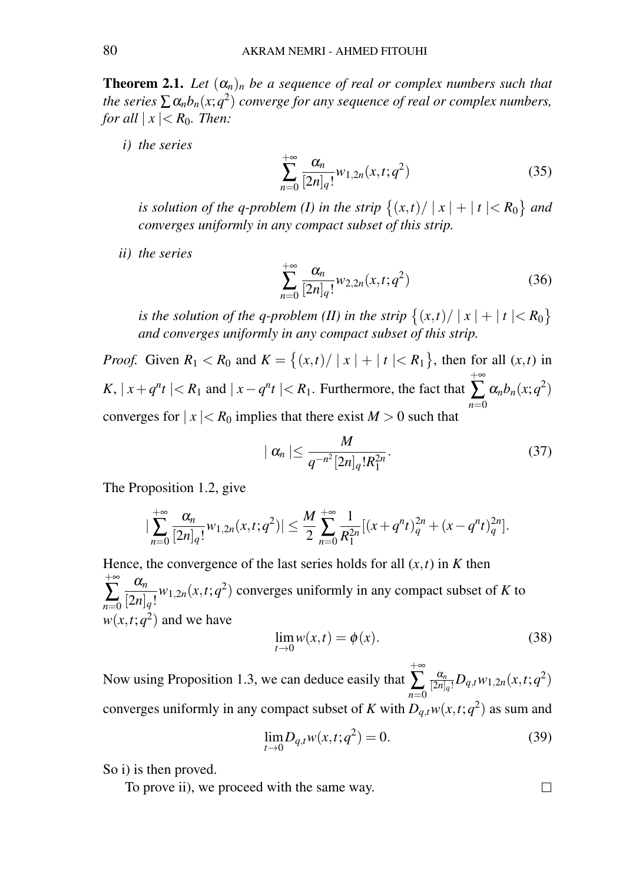**Theorem 2.1.** Let  $(\alpha_n)_n$  be a sequence of real or complex numbers such that *the series*  $\sum \alpha_n b_n(x; q^2)$  *converge for any sequence of real or complex numbers, for all*  $|x| < R_0$ *. Then:* 

*i) the series*

$$
\sum_{n=0}^{+\infty} \frac{\alpha_n}{[2n]_q!} w_{1,2n}(x,t;q^2)
$$
 (35)

*is solution of the q-problem (I) in the strip*  $\{(x,t) / |x| + |t| < R_0\}$  and *converges uniformly in any compact subset of this strip.*

*ii) the series*

$$
\sum_{n=0}^{+\infty} \frac{\alpha_n}{[2n]_q!} w_{2,2n}(x,t;q^2)
$$
 (36)

*is the solution of the q-problem (II) in the strip*  $\{(x,t) / |x| + |t| < R_0\}$ *and converges uniformly in any compact subset of this strip.*

*Proof.* Given  $R_1 < R_0$  and  $K = \{(x,t) / |x| + |t| < R_1\}$ , then for all  $(x,t)$  in *K*,  $|x + q^n t| < R_1$  and  $|x - q^n t| < R_1$ . Furthermore, the fact that  $+$ ∞ ∑ *n*=0  $\alpha_n b_n(x;q^2)$ converges for  $|x| < R_0$  implies that there exist  $M > 0$  such that

$$
|\alpha_n| \leq \frac{M}{q^{-n^2} [2n]_q! R_1^{2n}}.\tag{37}
$$

The Proposition 1.2, give

$$
\left|\sum_{n=0}^{+\infty}\frac{\alpha_n}{[2n]_q!}w_{1,2n}(x,t;q^2)\right|\leq \frac{M}{2}\sum_{n=0}^{+\infty}\frac{1}{R_1^{2n}}[(x+q^nt)_q^{2n}+(x-q^nt)_q^{2n}].
$$

Hence, the convergence of the last series holds for all  $(x, t)$  in *K* then  $+$ ∞ ∑ *n*=0 α*n*  $\frac{a_n}{[2n]_q!}$  *w*<sub>1,2*n*</sub>(*x*,*t*;*q*<sup>2</sup>) converges uniformly in any compact subset of *K* to  $w(x,t;q^2)$  and we have

$$
\lim_{t \to 0} w(x,t) = \phi(x). \tag{38}
$$

Now using Proposition 1.3, we can deduce easily that  $+$ ∞ ∑ *n*=0  $\frac{\alpha_n}{[2n]_q!}D_{q,t}w_{1,2n}(x,t;q^2)$ converges uniformly in any compact subset of *K* with  $D_{q,t}w(x,t;q^2)$  as sum and

$$
\lim_{t \to 0} D_{q,t} w(x,t;q^2) = 0.
$$
\n(39)

So i) is then proved.

To prove ii), we proceed with the same way.

$$
\qquad \qquad \Box
$$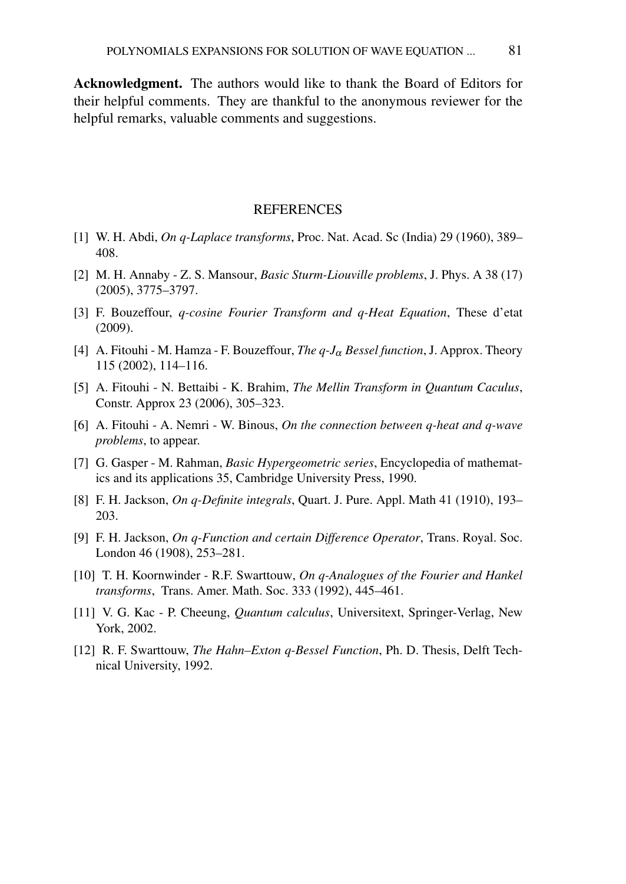Acknowledgment. The authors would like to thank the Board of Editors for their helpful comments. They are thankful to the anonymous reviewer for the helpful remarks, valuable comments and suggestions.

#### **REFERENCES**

- [1] W. H. Abdi, *On q-Laplace transforms*, Proc. Nat. Acad. Sc (India) 29 (1960), 389– 408.
- [2] M. H. Annaby Z. S. Mansour, *Basic Sturm-Liouville problems*, J. Phys. A 38 (17) (2005), 3775–3797.
- [3] F. Bouzeffour, *q-cosine Fourier Transform and q-Heat Equation*, These d'etat (2009).
- [4] A. Fitouhi M. Hamza F. Bouzeffour, *The q-J*<sup>α</sup> *Bessel function*, J. Approx. Theory 115 (2002), 114–116.
- [5] A. Fitouhi N. Bettaibi K. Brahim, *The Mellin Transform in Quantum Caculus*, Constr. Approx 23 (2006), 305–323.
- [6] A. Fitouhi A. Nemri W. Binous, *On the connection between q-heat and q-wave problems*, to appear.
- [7] G. Gasper M. Rahman, *Basic Hypergeometric series*, Encyclopedia of mathematics and its applications 35, Cambridge University Press, 1990.
- [8] F. H. Jackson, *On q-Definite integrals*, Quart. J. Pure. Appl. Math 41 (1910), 193– 203.
- [9] F. H. Jackson, *On q-Function and certain Difference Operator*, Trans. Royal. Soc. London 46 (1908), 253–281.
- [10] T. H. Koornwinder R.F. Swarttouw, *On q-Analogues of the Fourier and Hankel transforms*, Trans. Amer. Math. Soc. 333 (1992), 445–461.
- [11] V. G. Kac P. Cheeung, *Quantum calculus*, Universitext, Springer-Verlag, New York, 2002.
- [12] R. F. Swarttouw, *The Hahn–Exton q-Bessel Function*, Ph. D. Thesis, Delft Technical University, 1992.